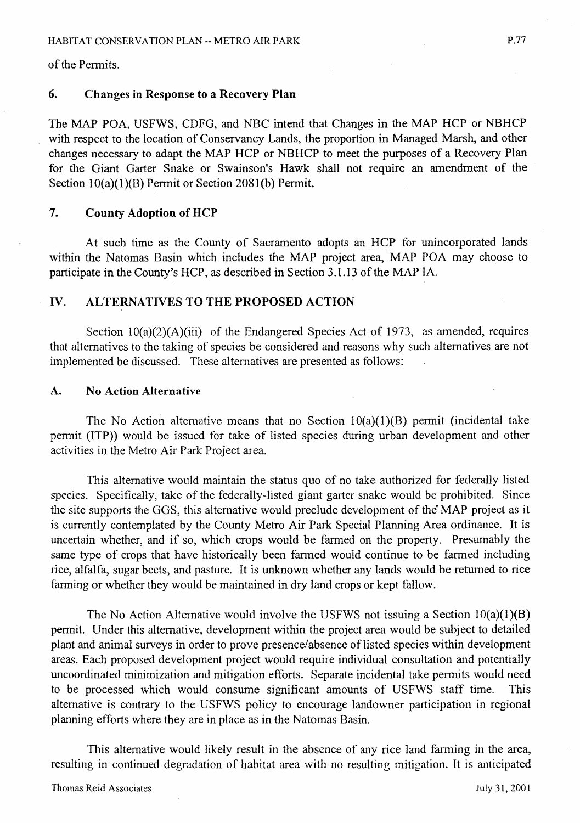of the Permits.

# 6. Changes in Response to a Recovery Plan

The MAP POA, USFWS, CDFG, and NBC intend that Changes in the MAP HCP or NBHCP with respect to the location of Conservancy Lands, the proportion in Managed Marsh, and other changes necessary to adapt the MAP HCP or NBHCP to meet the purposes of a Recovery Plan for the Giant Garter Snake or Swainson's Hawk shall not require an amendment of the Section IO(a)(l)(B) Permit or Section 208l(b) Permit.

## 7. County Adoption of HCP

At such time as the County of Sacramento adopts an HCP for unincorporated lands within the Natomas Basin which includes the MAP project area, MAP POA may choose to participate in the County's HCP, as described in Section 3.1.13 of the MAP IA.

### IV. ALTERNATIVES TO THE PROPOSED ACTION

Section  $10(a)(2)(A)(iii)$  of the Endangered Species Act of 1973, as amended, requires that alternatives to the taking of species be considered and reasons why such alternatives are not implemented be discussed. These alternatives are presented as follows:

## A. No Action Alternative

The No Action alternative means that no Section  $10(a)(1)(B)$  permit (incidental take permit (ITP)) would be issued for take of listed species during urban development and other activities in the Metro Air Park Project area.

This alternative would maintain the status quo of no take authorized for federally listed species. Specifically, take of the federally-listed giant garter snake would be prohibited. Since the site supports the GGS, this alternative would preclude development of the MAP project as it is currently contemplated by the County Metro Air Park Special Planning Area ordinance. It is uncertain whether, and if so, which crops would be farmed on the property. Presumably the same type of crops that have historically been farmed would continue to be farmed including rice, alfalfa, sugar beets, and pasture. It is unknown whether any lands would be returned to rice fanning or whether they would be maintained in dry land crops or kept fallow.

The No Action Alternative would involve the USFWS not issuing a Section  $10(a)(1)(B)$ permit. Under this alternative, development within the project area would be subject to detailed plant and animal surveys in order to prove presence/absence of listed species within development areas. Each proposed development project would require individual consultation and potentially uncoordinated minimization and mitigation efforts. Separate incidental take permits would need to be processed which would consume significant amounts of USFWS staff time. This alternative is contrary to the USFWS policy to encourage landowner participation in regional planning efforts where they are in place as in the Natomas Basin.

This alternative would likely result in the absence of any rice land farming in the area, resulting in continued degradation of habitat area with no resulting mitigation. It is anticipated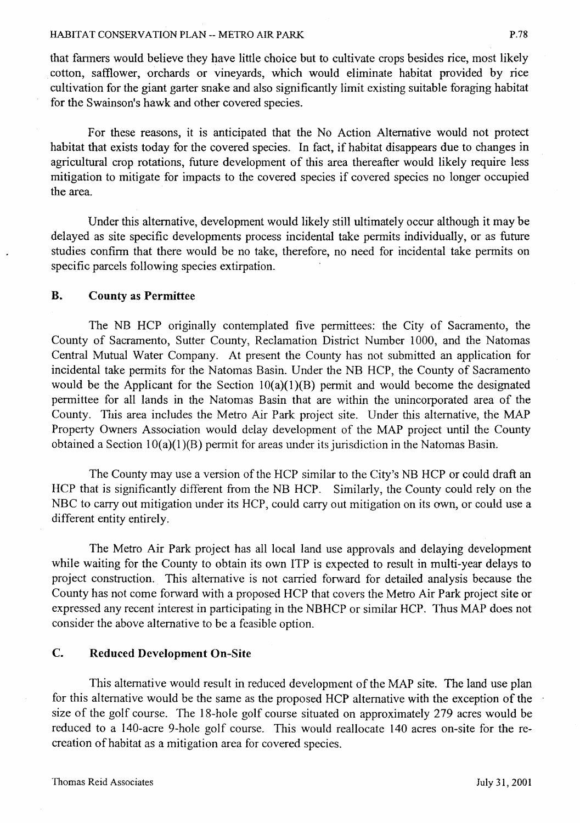that farmers would believe they have little choice but to cultivate crops besides rice, most likely cotton, safflower, orchards or vineyards, which would eliminate habitat provided by rice cultivation for the giant garter snake and also significantly limit existing suitable foraging habitat for the Swainson's hawk and other covered species.

For these reasons, it is anticipated that the No Action Alternative would not protect habitat that exists today for the covered species. In fact, if habitat disappears due to changes in agricultural crop rotations, future development of this area thereafter would likely require less mitigation to mitigate for impacts to the covered species if covered species no longer occupied the area.

Under this alternative, development would likely still ultimately occur although it may be delayed as site specific developments process incidental take permits individually, or as future studies confirm that there would be no take, therefore, no need for incidental take permits on specific parcels following species extirpation.

# B. County as Permittee

The NB HCP originally contemplated five permittees: the City of Sacramento, the County of Sacramento, Sutter County, Reclamation District Number 1000, and the Natomas Central Mutual Water Company. At present the County has not submitted an application for incidental take permits for the Natomas Basin. Under the NB HCP, the County of Sacramento would be the Applicant for the Section  $10(a)(1)(B)$  permit and would become the designated permittee for all lands in the Natomas Basin that are within the unincorporated area of the County. This area includes the Metro Air Park project site. Under this alternative, the MAP Property Owners Association would delay development of the MAP project until the County obtained a Section IO(a)(l )(B) permit for areas under its jurisdiction in the Natomas Basin.

The County may use a version of the HCP similar to the City's NB HCP or could draft an HCP that is significantly different from the NB HCP. Similarly, the County could rely on the NBC to carry out mitigation under its HCP, could carry out mitigation on its own, or could use a different entity entirely.

The Metro Air Park project has all local land use approvals and delaying development while waiting for the County to obtain its own ITP is expected to result in multi-year delays to project construction. This alternative is not carried forward for detailed analysis because the County has not come forward with a proposed HCP that covers the Metro Air Park project site or expressed any recent interest in participating in the NBHCP or similar HCP. Thus MAP does not consider the above alternative to be a feasible option.

## C. Reduced Development On-Site

This alternative would result in reduced development of the MAP site. The land use plan for this alternative would be the same as the proposed HCP alternative with the exception of the size of the golf course. The 18-hole golf course situated on approximately 279 acres would be reduced to a 140-acre 9-hole golf course. This would reallocate 140 acres on-site for the recreation of habitat as a mitigation area for covered species.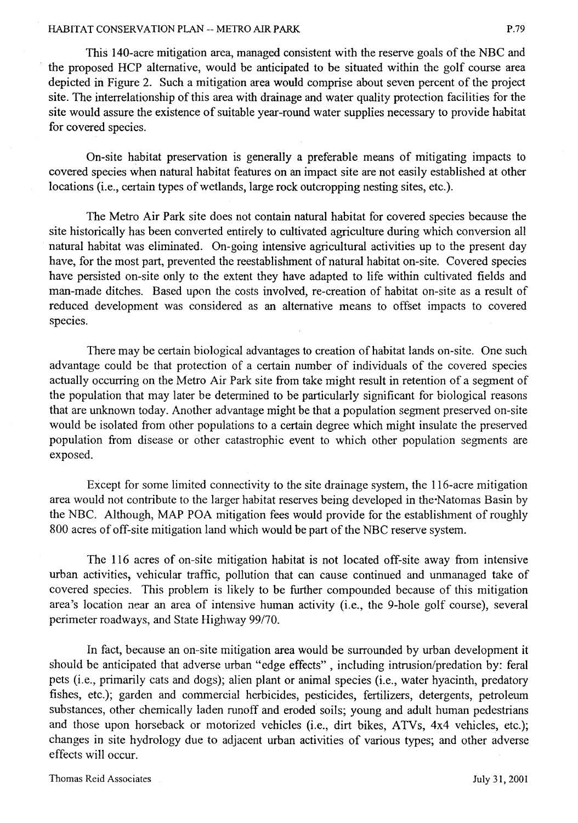#### HABITAT CONSERVATION PLAN -- METRO AIR PARK PARK P.79

This 140-acre mitigation area, managed consistent with the reserve goals of the NBC and the proposed HCP alternative, would be anticipated to be situated within the golf course area depicted in Figure 2. Such a mitigation area would comprise about seven percent of the project site. The interrelationship of this area with drainage and water quality protection facilities for the site would assure the existence of suitable year-round water supplies necessary to provide habitat for covered species.

On-site habitat preservation is generally a preferable means of mitigating impacts to covered species when natural habitat features on an impact site are not easily established at other locations (i.e., certain types of wetlands, large rock outcropping nesting sites, etc.).

The Metro Air Park site does not contain natural habitat for covered species because the site historically has been converted entirely to cultivated agriculture during which conversion all natural habitat was eliminated. On-going intensive agricultural activities up to the present day have, for the most part, prevented the reestablishment of natural habitat on-site. Covered species have persisted on-site only to the extent they have adapted to life within cultivated fields and man-made ditches. Based upon the costs involved, re-creation of habitat on-site as a result of reduced development was considered as an alternative means to offset impacts to covered species.

There may be certain biological advantages to creation of habitat lands on-site. One such advantage could be that protection of a certain number of individuals of the covered species actually occurring on the Metro Air Park site from take might result in retention of a segment of the population that may later be determined to be particularly significant for biological reasons that are unknown today. Another advantage might be that a population segment preserved on-site would be isolated from other populations to a certain degree which might insulate the preserved population from disease or other catastrophic event to which other population segments are exposed.

Except for some limited connectivity to the site drainage system, the 116-acre mitigation area would not contribute to the larger habitat reserves being developed in the·Natomas Basin by the NBC. Although, MAP POA mitigation fees would provide for the establishment of roughly 800 acres of off-site mitigation land which would be part of the NBC reserve system.

The 116 acres of on-site mitigation habitat is not located off-site away from intensive urban activities, vehicular traffic, pollution that can cause continued and unmanaged take of covered species. This problem is likely to be further compounded because of this mitigation area's location near an area of intensive human activity (i.e., the 9-hole golf course), several perimeter roadways, and State Highway 99/70.

In fact, because an on-site mitigation area would be surrounded by urban development it should be anticipated that adverse urban "edge effects" , including intrusion/predation by: feral pets (i.e., primarily cats and dogs); alien plant or animal species (i.e., water hyacinth, predatory fishes, etc.); garden and commercial herbicides, pesticides, fertilizers, detergents, petroleum substances, other chemically laden runoff and eroded soils; young and adult human pedestrians and those upon horseback or motorized vehicles (i.e., dirt bikes, ATVs, 4x4 vehicles, etc.); changes in site hydrology due to adjacent urban activities of various types; and other adverse effects will occur.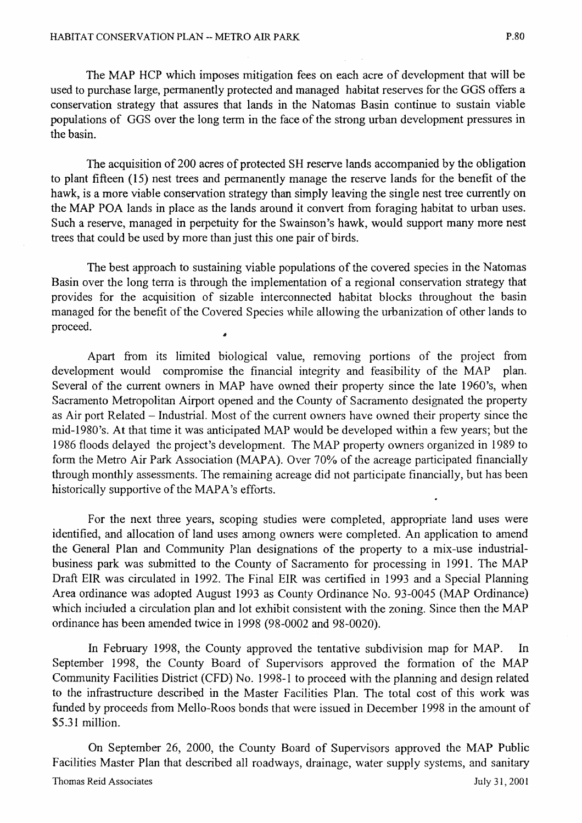#### HABITAT CONSERVATION PLAN --METRO AIR PARK P.80

The MAP HCP which imposes mitigation fees on each acre of development that will be used to purchase large, permanently protected and managed habitat reserves for the GGS offers a conservation strategy that assures that lands in the Natomas Basin continue to sustain viable populations of GGS over the long term in the face of the strong urban development pressures in the basin.

The acquisition of 200 acres of protected SH reserve lands accompanied by the obligation to plant fifteen ( 15) nest trees and permanently manage the reserve lands for the benefit of the hawk, is a more viable conservation strategy than simply leaving the single nest tree currently on the MAP POA lands in place as the lands around it convert from foraging habitat to urban uses. Such a reserve, managed in perpetuity for the Swainson's hawk, would support many more nest trees that could be used by more than just this one pair of birds.

The best approach to sustaining viable populations of the covered species in the Natomas Basin over the long terrn is through the implementation of a regional conservation strategy that provides for the acquisition of sizable interconnected habitat blocks throughout the basin managed for the benefit of the Covered Species while allowing the urbanization of other lands to proceed.

Apart from its limited biological value, removing portions of the project from development would compromise the financial integrity and feasibility of the MAP plan. Several of the current owners in MAP have owned their property since the late 1960 's, when Sacramento Metropolitan Airport opened and the County of Sacramento designated the property as Air port Related - Industrial. Most of the current owners have owned their property since the mid-1980's. At that time it was anticipated MAP would be developed within a few years; but the 1986 floods delayed the project's development. The MAP property owners organized in 1989 to form the Metro Air Park Association (MAPA). Over 70% of the acreage participated financially through monthly assessments. The remaining acreage did not participate financially, but has been historically supportive of the MAPA's efforts.

For the next three years, scoping studies were completed, appropriate land uses were identified, and allocation of land uses among owners were completed. An application to amend the General Plan and Community Plan designations of the property to a mix-use industrialbusiness park was submitted to the County of Sacramento for processing in 1991. The MAP Draft EIR was circulated in 1992. The Final EIR was certified in 1993 and a Special Planning Area ordinance was adopted August 1993 as County Ordinance No. 93-0045 (MAP Ordinance) which included a circulation plan and lot exhibit consistent with the zoning. Since then the MAP ordinance has been amended twice in 1998 (98-0002 and 98-0020).

In February 1998, the County approved the tentative subdivision map for MAP. In September 1998, the County Board of Supervisors approved the formation of the MAP Community Facilities District (CFD) No. 1998-1 to proceed with the planning and design related to the infrastructure described in the Master Facilities Plan. The total cost of this work was funded by proceeds from Mello-Roos bonds that were issued in December 1998 in the amount of \$5.31 million.

On September 26, 2000, the County Board of Supervisors approved the MAP Public Facilities Master Plan that described all roadways, drainage, water supply systems, and sanitary Thomas Reid Associates July 31, 2001